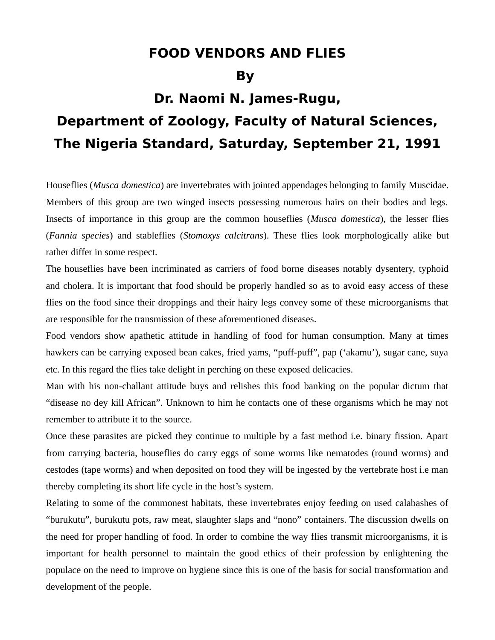## **FOOD VENDORS AND FLIES**

**By** 

## **Dr. Naomi N. James-Rugu,**

## **Department of Zoology, Faculty of Natural Sciences, The Nigeria Standard, Saturday, September 21, 1991**

Houseflies (*Musca domestica*) are invertebrates with jointed appendages belonging to family Muscidae. Members of this group are two winged insects possessing numerous hairs on their bodies and legs. Insects of importance in this group are the common houseflies (*Musca domestica*), the lesser flies (*Fannia species*) and stableflies (*Stomoxys calcitrans*). These flies look morphologically alike but rather differ in some respect.

The houseflies have been incriminated as carriers of food borne diseases notably dysentery, typhoid and cholera. It is important that food should be properly handled so as to avoid easy access of these flies on the food since their droppings and their hairy legs convey some of these microorganisms that are responsible for the transmission of these aforementioned diseases.

Food vendors show apathetic attitude in handling of food for human consumption. Many at times hawkers can be carrying exposed bean cakes, fried yams, "puff-puff", pap ('akamu'), sugar cane, suya etc. In this regard the flies take delight in perching on these exposed delicacies.

Man with his non-challant attitude buys and relishes this food banking on the popular dictum that "disease no dey kill African". Unknown to him he contacts one of these organisms which he may not remember to attribute it to the source.

Once these parasites are picked they continue to multiple by a fast method i.e. binary fission. Apart from carrying bacteria, houseflies do carry eggs of some worms like nematodes (round worms) and cestodes (tape worms) and when deposited on food they will be ingested by the vertebrate host i.e man thereby completing its short life cycle in the host's system.

Relating to some of the commonest habitats, these invertebrates enjoy feeding on used calabashes of "burukutu", burukutu pots, raw meat, slaughter slaps and "nono" containers. The discussion dwells on the need for proper handling of food. In order to combine the way flies transmit microorganisms, it is important for health personnel to maintain the good ethics of their profession by enlightening the populace on the need to improve on hygiene since this is one of the basis for social transformation and development of the people.